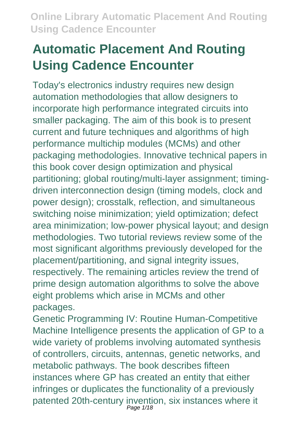# **Automatic Placement And Routing Using Cadence Encounter**

Today's electronics industry requires new design automation methodologies that allow designers to incorporate high performance integrated circuits into smaller packaging. The aim of this book is to present current and future techniques and algorithms of high performance multichip modules (MCMs) and other packaging methodologies. Innovative technical papers in this book cover design optimization and physical partitioning; global routing/multi-layer assignment; timingdriven interconnection design (timing models, clock and power design); crosstalk, reflection, and simultaneous switching noise minimization; yield optimization; defect area minimization; low-power physical layout; and design methodologies. Two tutorial reviews review some of the most significant algorithms previously developed for the placement/partitioning, and signal integrity issues, respectively. The remaining articles review the trend of prime design automation algorithms to solve the above eight problems which arise in MCMs and other packages.

Genetic Programming IV: Routine Human-Competitive Machine Intelligence presents the application of GP to a wide variety of problems involving automated synthesis of controllers, circuits, antennas, genetic networks, and metabolic pathways. The book describes fifteen instances where GP has created an entity that either infringes or duplicates the functionality of a previously patented 20th-century invention, six instances where it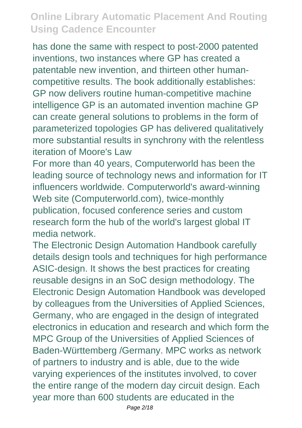has done the same with respect to post-2000 patented inventions, two instances where GP has created a patentable new invention, and thirteen other humancompetitive results. The book additionally establishes: GP now delivers routine human-competitive machine intelligence GP is an automated invention machine GP can create general solutions to problems in the form of parameterized topologies GP has delivered qualitatively more substantial results in synchrony with the relentless iteration of Moore's Law

For more than 40 years, Computerworld has been the leading source of technology news and information for IT influencers worldwide. Computerworld's award-winning Web site (Computerworld.com), twice-monthly publication, focused conference series and custom research form the hub of the world's largest global IT media network.

The Electronic Design Automation Handbook carefully details design tools and techniques for high performance ASIC-design. It shows the best practices for creating reusable designs in an SoC design methodology. The Electronic Design Automation Handbook was developed by colleagues from the Universities of Applied Sciences, Germany, who are engaged in the design of integrated electronics in education and research and which form the MPC Group of the Universities of Applied Sciences of Baden-Württemberg /Germany. MPC works as network of partners to industry and is able, due to the wide varying experiences of the institutes involved, to cover the entire range of the modern day circuit design. Each year more than 600 students are educated in the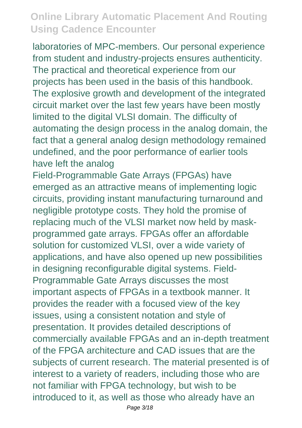laboratories of MPC-members. Our personal experience from student and industry-projects ensures authenticity. The practical and theoretical experience from our projects has been used in the basis of this handbook. The explosive growth and development of the integrated circuit market over the last few years have been mostly limited to the digital VLSI domain. The difficulty of automating the design process in the analog domain, the fact that a general analog design methodology remained undefined, and the poor performance of earlier tools have left the analog

Field-Programmable Gate Arrays (FPGAs) have emerged as an attractive means of implementing logic circuits, providing instant manufacturing turnaround and negligible prototype costs. They hold the promise of replacing much of the VLSI market now held by maskprogrammed gate arrays. FPGAs offer an affordable solution for customized VLSI, over a wide variety of applications, and have also opened up new possibilities in designing reconfigurable digital systems. Field-Programmable Gate Arrays discusses the most important aspects of FPGAs in a textbook manner. It provides the reader with a focused view of the key issues, using a consistent notation and style of presentation. It provides detailed descriptions of commercially available FPGAs and an in-depth treatment of the FPGA architecture and CAD issues that are the subjects of current research. The material presented is of interest to a variety of readers, including those who are not familiar with FPGA technology, but wish to be introduced to it, as well as those who already have an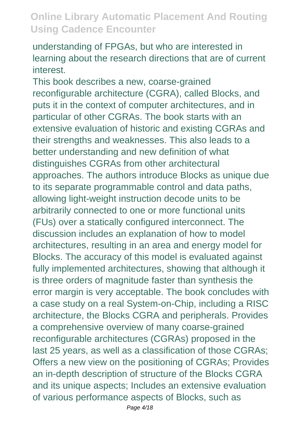understanding of FPGAs, but who are interested in learning about the research directions that are of current interest.

This book describes a new, coarse-grained reconfigurable architecture (CGRA), called Blocks, and puts it in the context of computer architectures, and in particular of other CGRAs. The book starts with an extensive evaluation of historic and existing CGRAs and their strengths and weaknesses. This also leads to a better understanding and new definition of what distinguishes CGRAs from other architectural approaches. The authors introduce Blocks as unique due to its separate programmable control and data paths, allowing light-weight instruction decode units to be arbitrarily connected to one or more functional units (FUs) over a statically configured interconnect. The discussion includes an explanation of how to model architectures, resulting in an area and energy model for Blocks. The accuracy of this model is evaluated against fully implemented architectures, showing that although it is three orders of magnitude faster than synthesis the error margin is very acceptable. The book concludes with a case study on a real System-on-Chip, including a RISC architecture, the Blocks CGRA and peripherals. Provides a comprehensive overview of many coarse-grained reconfigurable architectures (CGRAs) proposed in the last 25 years, as well as a classification of those CGRAs; Offers a new view on the positioning of CGRAs; Provides an in-depth description of structure of the Blocks CGRA and its unique aspects; Includes an extensive evaluation of various performance aspects of Blocks, such as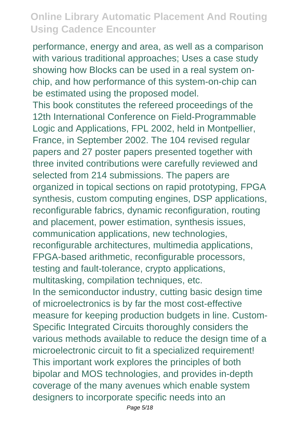performance, energy and area, as well as a comparison with various traditional approaches; Uses a case study showing how Blocks can be used in a real system onchip, and how performance of this system-on-chip can be estimated using the proposed model.

This book constitutes the refereed proceedings of the 12th International Conference on Field-Programmable Logic and Applications, FPL 2002, held in Montpellier, France, in September 2002. The 104 revised regular papers and 27 poster papers presented together with three invited contributions were carefully reviewed and selected from 214 submissions. The papers are organized in topical sections on rapid prototyping, FPGA synthesis, custom computing engines, DSP applications, reconfigurable fabrics, dynamic reconfiguration, routing and placement, power estimation, synthesis issues, communication applications, new technologies, reconfigurable architectures, multimedia applications, FPGA-based arithmetic, reconfigurable processors, testing and fault-tolerance, crypto applications, multitasking, compilation techniques, etc. In the semiconductor industry, cutting basic design time of microelectronics is by far the most cost-effective measure for keeping production budgets in line. Custom-Specific Integrated Circuits thoroughly considers the various methods available to reduce the design time of a microelectronic circuit to fit a specialized requirement! This important work explores the principles of both bipolar and MOS technologies, and provides in-depth coverage of the many avenues which enable system designers to incorporate specific needs into an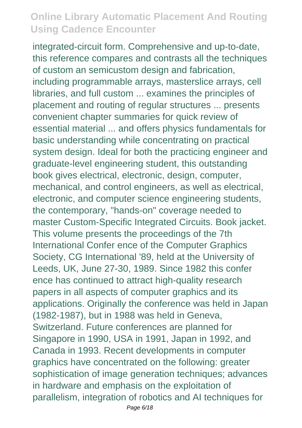integrated-circuit form. Comprehensive and up-to-date, this reference compares and contrasts all the techniques of custom an semicustom design and fabrication, including programmable arrays, masterslice arrays, cell libraries, and full custom ... examines the principles of placement and routing of regular structures ... presents convenient chapter summaries for quick review of essential material ... and offers physics fundamentals for basic understanding while concentrating on practical system design. Ideal for both the practicing engineer and graduate-level engineering student, this outstanding book gives electrical, electronic, design, computer, mechanical, and control engineers, as well as electrical, electronic, and computer science engineering students, the contemporary, "hands-on" coverage needed to master Custom-Specific Integrated Circuits. Book jacket. This volume presents the proceedings of the 7th International Confer ence of the Computer Graphics Society, CG International '89, held at the University of Leeds, UK, June 27-30, 1989. Since 1982 this confer ence has continued to attract high-quality research papers in all aspects of computer graphics and its applications. Originally the conference was held in Japan (1982-1987), but in 1988 was held in Geneva, Switzerland. Future conferences are planned for Singapore in 1990, USA in 1991, Japan in 1992, and Canada in 1993. Recent developments in computer graphics have concentrated on the following: greater sophistication of image generation techniques; advances in hardware and emphasis on the exploitation of parallelism, integration of robotics and AI techniques for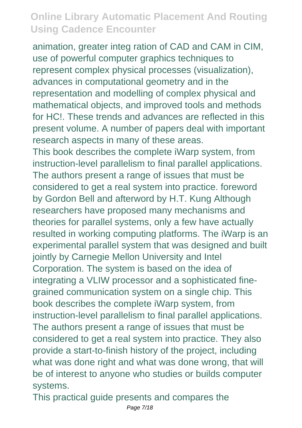animation, greater integ ration of CAD and CAM in CIM, use of powerful computer graphics techniques to represent complex physical processes (visualization), advances in computational geometry and in the representation and modelling of complex physical and mathematical objects, and improved tools and methods for HC!. These trends and advances are reflected in this present volume. A number of papers deal with important research aspects in many of these areas. This book describes the complete iWarp system, from instruction-level parallelism to final parallel applications. The authors present a range of issues that must be considered to get a real system into practice. foreword by Gordon Bell and afterword by H.T. Kung Although researchers have proposed many mechanisms and theories for parallel systems, only a few have actually resulted in working computing platforms. The iWarp is an experimental parallel system that was designed and built jointly by Carnegie Mellon University and Intel Corporation. The system is based on the idea of integrating a VLIW processor and a sophisticated finegrained communication system on a single chip. This book describes the complete iWarp system, from instruction-level parallelism to final parallel applications. The authors present a range of issues that must be considered to get a real system into practice. They also provide a start-to-finish history of the project, including what was done right and what was done wrong, that will be of interest to anyone who studies or builds computer systems.

This practical guide presents and compares the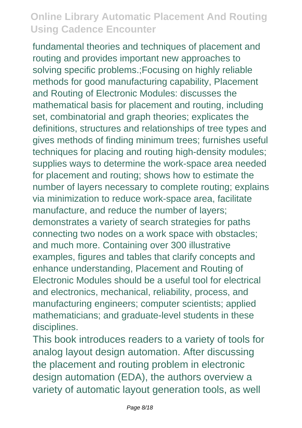fundamental theories and techniques of placement and routing and provides important new approaches to solving specific problems.;Focusing on highly reliable methods for good manufacturing capability, Placement and Routing of Electronic Modules: discusses the mathematical basis for placement and routing, including set, combinatorial and graph theories; explicates the definitions, structures and relationships of tree types and gives methods of finding minimum trees; furnishes useful techniques for placing and routing high-density modules; supplies ways to determine the work-space area needed for placement and routing; shows how to estimate the number of layers necessary to complete routing; explains via minimization to reduce work-space area, facilitate manufacture, and reduce the number of layers; demonstrates a variety of search strategies for paths connecting two nodes on a work space with obstacles; and much more. Containing over 300 illustrative examples, figures and tables that clarify concepts and enhance understanding, Placement and Routing of Electronic Modules should be a useful tool for electrical and electronics, mechanical, reliability, process, and manufacturing engineers; computer scientists; applied mathematicians; and graduate-level students in these disciplines.

This book introduces readers to a variety of tools for analog layout design automation. After discussing the placement and routing problem in electronic design automation (EDA), the authors overview a variety of automatic layout generation tools, as well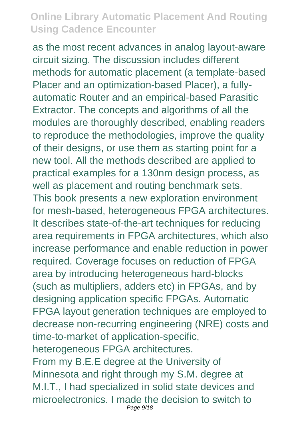as the most recent advances in analog layout-aware circuit sizing. The discussion includes different methods for automatic placement (a template-based Placer and an optimization-based Placer), a fullyautomatic Router and an empirical-based Parasitic Extractor. The concepts and algorithms of all the modules are thoroughly described, enabling readers to reproduce the methodologies, improve the quality of their designs, or use them as starting point for a new tool. All the methods described are applied to practical examples for a 130nm design process, as well as placement and routing benchmark sets. This book presents a new exploration environment for mesh-based, heterogeneous FPGA architectures. It describes state-of-the-art techniques for reducing area requirements in FPGA architectures, which also increase performance and enable reduction in power required. Coverage focuses on reduction of FPGA area by introducing heterogeneous hard-blocks (such as multipliers, adders etc) in FPGAs, and by designing application specific FPGAs. Automatic FPGA layout generation techniques are employed to decrease non-recurring engineering (NRE) costs and time-to-market of application-specific, heterogeneous FPGA architectures. From my B.E.E degree at the University of Minnesota and right through my S.M. degree at M.I.T., I had specialized in solid state devices and microelectronics. I made the decision to switch to Page 9/18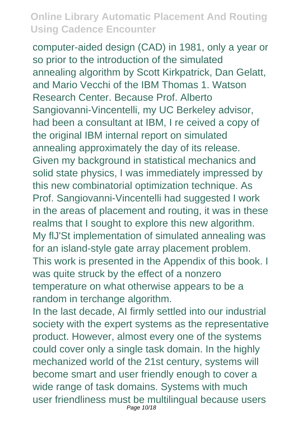computer-aided design (CAD) in 1981, only a year or so prior to the introduction of the simulated annealing algorithm by Scott Kirkpatrick, Dan Gelatt, and Mario Vecchi of the IBM Thomas 1. Watson Research Center. Because Prof. Alberto Sangiovanni-Vincentelli, my UC Berkeley advisor, had been a consultant at IBM, I re ceived a copy of the original IBM internal report on simulated annealing approximately the day of its release. Given my background in statistical mechanics and solid state physics, I was immediately impressed by this new combinatorial optimization technique. As Prof. Sangiovanni-Vincentelli had suggested I work in the areas of placement and routing, it was in these realms that I sought to explore this new algorithm. My flJ'St implementation of simulated annealing was for an island-style gate array placement problem. This work is presented in the Appendix of this book. I was quite struck by the effect of a nonzero temperature on what otherwise appears to be a random in terchange algorithm.

In the last decade, AI firmly settled into our industrial society with the expert systems as the representative product. However, almost every one of the systems could cover only a single task domain. In the highly mechanized world of the 21st century, systems will become smart and user friendly enough to cover a wide range of task domains. Systems with much user friendliness must be multilingual because users Page 10/18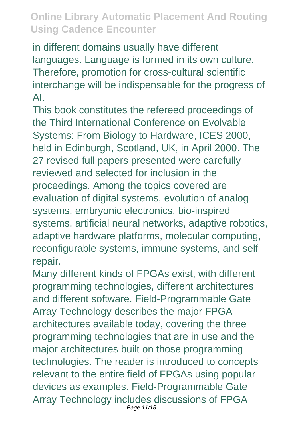in different domains usually have different languages. Language is formed in its own culture. Therefore, promotion for cross-cultural scientific interchange will be indispensable for the progress of AI.

This book constitutes the refereed proceedings of the Third International Conference on Evolvable Systems: From Biology to Hardware, ICES 2000, held in Edinburgh, Scotland, UK, in April 2000. The 27 revised full papers presented were carefully reviewed and selected for inclusion in the proceedings. Among the topics covered are evaluation of digital systems, evolution of analog systems, embryonic electronics, bio-inspired systems, artificial neural networks, adaptive robotics, adaptive hardware platforms, molecular computing, reconfigurable systems, immune systems, and selfrepair.

Many different kinds of FPGAs exist, with different programming technologies, different architectures and different software. Field-Programmable Gate Array Technology describes the major FPGA architectures available today, covering the three programming technologies that are in use and the major architectures built on those programming technologies. The reader is introduced to concepts relevant to the entire field of FPGAs using popular devices as examples. Field-Programmable Gate Array Technology includes discussions of FPGA Page 11/18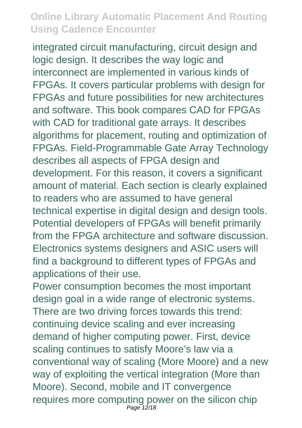integrated circuit manufacturing, circuit design and logic design. It describes the way logic and interconnect are implemented in various kinds of FPGAs. It covers particular problems with design for FPGAs and future possibilities for new architectures and software. This book compares CAD for FPGAs with CAD for traditional gate arrays. It describes algorithms for placement, routing and optimization of FPGAs. Field-Programmable Gate Array Technology describes all aspects of FPGA design and development. For this reason, it covers a significant amount of material. Each section is clearly explained to readers who are assumed to have general technical expertise in digital design and design tools. Potential developers of FPGAs will benefit primarily from the FPGA architecture and software discussion. Electronics systems designers and ASIC users will find a background to different types of FPGAs and applications of their use.

Power consumption becomes the most important design goal in a wide range of electronic systems. There are two driving forces towards this trend: continuing device scaling and ever increasing demand of higher computing power. First, device scaling continues to satisfy Moore's law via a conventional way of scaling (More Moore) and a new way of exploiting the vertical integration (More than Moore). Second, mobile and IT convergence requires more computing power on the silicon chip Page 12/18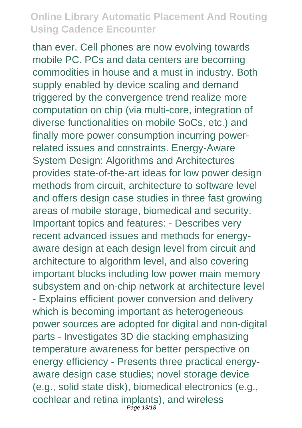than ever. Cell phones are now evolving towards mobile PC. PCs and data centers are becoming commodities in house and a must in industry. Both supply enabled by device scaling and demand triggered by the convergence trend realize more computation on chip (via multi-core, integration of diverse functionalities on mobile SoCs, etc.) and finally more power consumption incurring powerrelated issues and constraints. Energy-Aware System Design: Algorithms and Architectures provides state-of-the-art ideas for low power design methods from circuit, architecture to software level and offers design case studies in three fast growing areas of mobile storage, biomedical and security. Important topics and features: - Describes very recent advanced issues and methods for energyaware design at each design level from circuit and architecture to algorithm level, and also covering important blocks including low power main memory subsystem and on-chip network at architecture level - Explains efficient power conversion and delivery which is becoming important as heterogeneous power sources are adopted for digital and non-digital parts - Investigates 3D die stacking emphasizing temperature awareness for better perspective on energy efficiency - Presents three practical energyaware design case studies; novel storage device (e.g., solid state disk), biomedical electronics (e.g., cochlear and retina implants), and wireless Page 13/18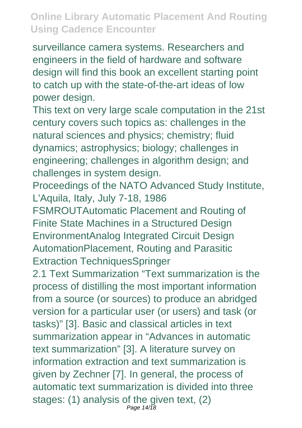surveillance camera systems. Researchers and engineers in the field of hardware and software design will find this book an excellent starting point to catch up with the state-of-the-art ideas of low power design.

This text on very large scale computation in the 21st century covers such topics as: challenges in the natural sciences and physics; chemistry; fluid dynamics; astrophysics; biology; challenges in engineering; challenges in algorithm design; and challenges in system design.

Proceedings of the NATO Advanced Study Institute, L'Aquila, Italy, July 7-18, 1986

FSMROUTAutomatic Placement and Routing of Finite State Machines in a Structured Design EnvironmentAnalog Integrated Circuit Design AutomationPlacement, Routing and Parasitic Extraction TechniquesSpringer

2.1 Text Summarization "Text summarization is the process of distilling the most important information from a source (or sources) to produce an abridged version for a particular user (or users) and task (or tasks)" [3]. Basic and classical articles in text summarization appear in "Advances in automatic text summarization" [3]. A literature survey on information extraction and text summarization is given by Zechner [7]. In general, the process of automatic text summarization is divided into three stages: (1) analysis of the given text, (2) Page 14/18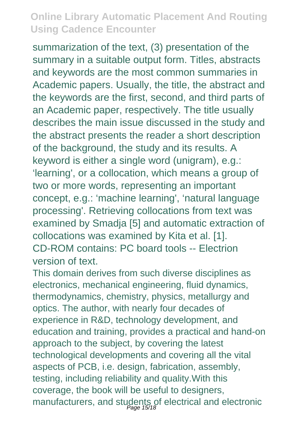summarization of the text, (3) presentation of the summary in a suitable output form. Titles, abstracts and keywords are the most common summaries in Academic papers. Usually, the title, the abstract and the keywords are the first, second, and third parts of an Academic paper, respectively. The title usually describes the main issue discussed in the study and the abstract presents the reader a short description of the background, the study and its results. A keyword is either a single word (unigram), e.g.: 'learning', or a collocation, which means a group of two or more words, representing an important concept, e.g.: 'machine learning', 'natural language processing'. Retrieving collocations from text was examined by Smadja [5] and automatic extraction of collocations was examined by Kita et al. [1]. CD-ROM contains: PC board tools -- Electrion version of text.

This domain derives from such diverse disciplines as electronics, mechanical engineering, fluid dynamics, thermodynamics, chemistry, physics, metallurgy and optics. The author, with nearly four decades of experience in R&D, technology development, and education and training, provides a practical and hand-on approach to the subject, by covering the latest technological developments and covering all the vital aspects of PCB, i.e. design, fabrication, assembly, testing, including reliability and quality.With this coverage, the book will be useful to designers, manufacturers, and students of electrical and electronic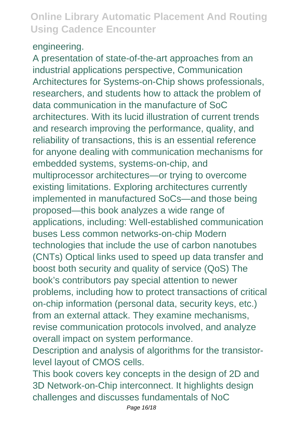#### engineering.

A presentation of state-of-the-art approaches from an industrial applications perspective, Communication Architectures for Systems-on-Chip shows professionals, researchers, and students how to attack the problem of data communication in the manufacture of SoC architectures. With its lucid illustration of current trends and research improving the performance, quality, and reliability of transactions, this is an essential reference for anyone dealing with communication mechanisms for embedded systems, systems-on-chip, and multiprocessor architectures—or trying to overcome existing limitations. Exploring architectures currently implemented in manufactured SoCs—and those being proposed—this book analyzes a wide range of applications, including: Well-established communication buses Less common networks-on-chip Modern technologies that include the use of carbon nanotubes (CNTs) Optical links used to speed up data transfer and boost both security and quality of service (QoS) The book's contributors pay special attention to newer problems, including how to protect transactions of critical on-chip information (personal data, security keys, etc.) from an external attack. They examine mechanisms, revise communication protocols involved, and analyze overall impact on system performance.

Description and analysis of algorithms for the transistorlevel layout of CMOS cells.

This book covers key concepts in the design of 2D and 3D Network-on-Chip interconnect. It highlights design challenges and discusses fundamentals of NoC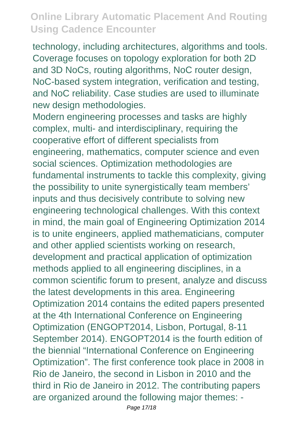technology, including architectures, algorithms and tools. Coverage focuses on topology exploration for both 2D and 3D NoCs, routing algorithms, NoC router design, NoC-based system integration, verification and testing, and NoC reliability. Case studies are used to illuminate new design methodologies.

Modern engineering processes and tasks are highly complex, multi- and interdisciplinary, requiring the cooperative effort of different specialists from engineering, mathematics, computer science and even social sciences. Optimization methodologies are fundamental instruments to tackle this complexity, giving the possibility to unite synergistically team members' inputs and thus decisively contribute to solving new engineering technological challenges. With this context in mind, the main goal of Engineering Optimization 2014 is to unite engineers, applied mathematicians, computer and other applied scientists working on research, development and practical application of optimization methods applied to all engineering disciplines, in a common scientific forum to present, analyze and discuss the latest developments in this area. Engineering Optimization 2014 contains the edited papers presented at the 4th International Conference on Engineering Optimization (ENGOPT2014, Lisbon, Portugal, 8-11 September 2014). ENGOPT2014 is the fourth edition of the biennial "International Conference on Engineering Optimization". The first conference took place in 2008 in Rio de Janeiro, the second in Lisbon in 2010 and the third in Rio de Janeiro in 2012. The contributing papers are organized around the following major themes: -